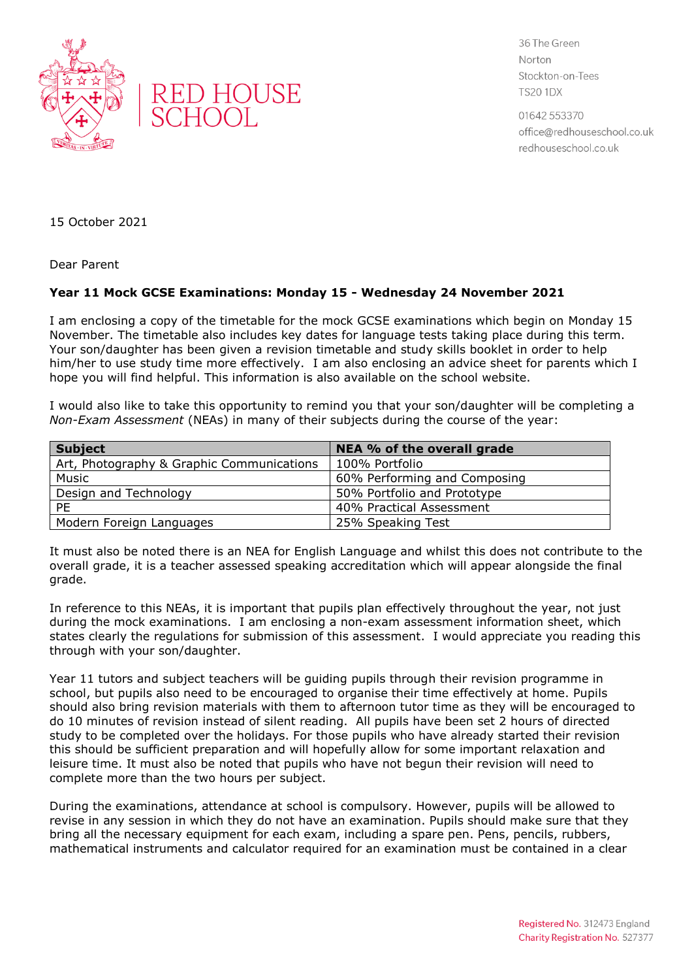



36 The Green Norton Stockton-on-Tees **TS20 1DX** 

01642 553370 office@redhouseschool.co.uk redhouseschool.co.uk

15 October 2021

Dear Parent

## **Year 11 Mock GCSE Examinations: Monday 15 - Wednesday 24 November 2021**

I am enclosing a copy of the timetable for the mock GCSE examinations which begin on Monday 15 November. The timetable also includes key dates for language tests taking place during this term. Your son/daughter has been given a revision timetable and study skills booklet in order to help him/her to use study time more effectively. I am also enclosing an advice sheet for parents which I hope you will find helpful. This information is also available on the school website.

I would also like to take this opportunity to remind you that your son/daughter will be completing a *Non-Exam Assessment* (NEAs) in many of their subjects during the course of the year:

| <b>Subject</b>                            | NEA % of the overall grade   |
|-------------------------------------------|------------------------------|
| Art, Photography & Graphic Communications | 100% Portfolio               |
| Music                                     | 60% Performing and Composing |
| Design and Technology                     | 50% Portfolio and Prototype  |
| <b>PF</b>                                 | 40% Practical Assessment     |
| Modern Foreign Languages                  | 25% Speaking Test            |

It must also be noted there is an NEA for English Language and whilst this does not contribute to the overall grade, it is a teacher assessed speaking accreditation which will appear alongside the final grade.

In reference to this NEAs, it is important that pupils plan effectively throughout the year, not just during the mock examinations. I am enclosing a non-exam assessment information sheet, which states clearly the regulations for submission of this assessment. I would appreciate you reading this through with your son/daughter.

Year 11 tutors and subject teachers will be guiding pupils through their revision programme in school, but pupils also need to be encouraged to organise their time effectively at home. Pupils should also bring revision materials with them to afternoon tutor time as they will be encouraged to do 10 minutes of revision instead of silent reading. All pupils have been set 2 hours of directed study to be completed over the holidays. For those pupils who have already started their revision this should be sufficient preparation and will hopefully allow for some important relaxation and leisure time. It must also be noted that pupils who have not begun their revision will need to complete more than the two hours per subject.

During the examinations, attendance at school is compulsory. However, pupils will be allowed to revise in any session in which they do not have an examination. Pupils should make sure that they bring all the necessary equipment for each exam, including a spare pen. Pens, pencils, rubbers, mathematical instruments and calculator required for an examination must be contained in a clear